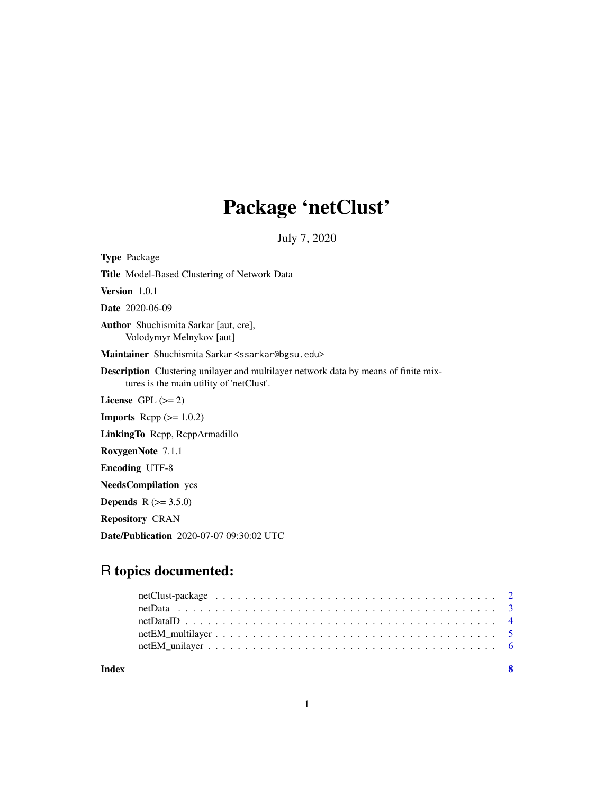## Package 'netClust'

July 7, 2020

Type Package Title Model-Based Clustering of Network Data Version 1.0.1 Date 2020-06-09 Author Shuchismita Sarkar [aut, cre], Volodymyr Melnykov [aut] Maintainer Shuchismita Sarkar <ssarkar@bgsu.edu> Description Clustering unilayer and multilayer network data by means of finite mixtures is the main utility of 'netClust'. License GPL  $(>= 2)$ **Imports** Rcpp  $(>= 1.0.2)$ LinkingTo Rcpp, RcppArmadillo RoxygenNote 7.1.1 Encoding UTF-8 NeedsCompilation yes **Depends**  $R (= 3.5.0)$ Repository CRAN Date/Publication 2020-07-07 09:30:02 UTC

### R topics documented:

| Index | - 8 |  |
|-------|-----|--|
|       |     |  |
|       |     |  |
|       |     |  |
|       |     |  |
|       |     |  |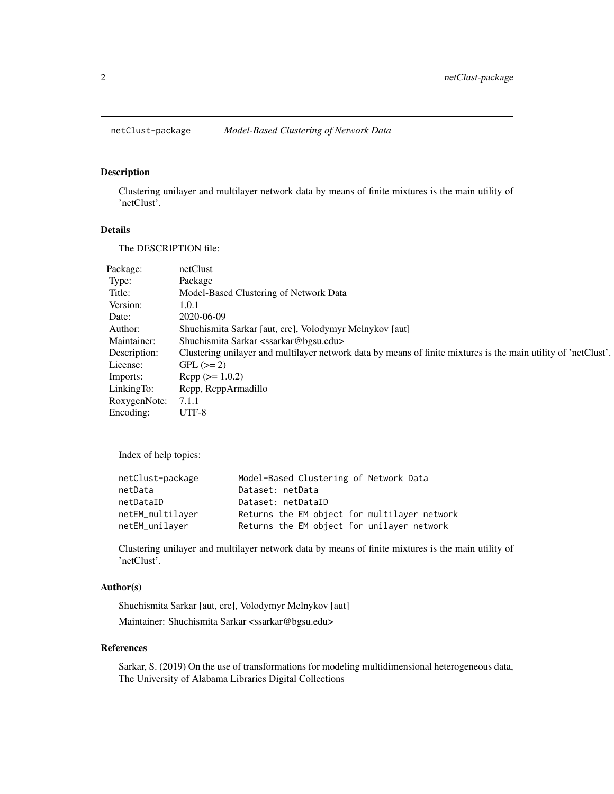<span id="page-1-0"></span>

#### Description

Clustering unilayer and multilayer network data by means of finite mixtures is the main utility of 'netClust'.

#### Details

The DESCRIPTION file:

| Package:     | netClust                                                                                                       |
|--------------|----------------------------------------------------------------------------------------------------------------|
| Type:        | Package                                                                                                        |
| Title:       | Model-Based Clustering of Network Data                                                                         |
| Version:     | 1.0.1                                                                                                          |
| Date:        | 2020-06-09                                                                                                     |
| Author:      | Shuchismita Sarkar [aut, cre], Volodymyr Melnykov [aut]                                                        |
| Maintainer:  | Shuchismita Sarkar <ssarkar@bgsu.edu></ssarkar@bgsu.edu>                                                       |
| Description: | Clustering unilayer and multilayer network data by means of finite mixtures is the main utility of 'netClust'. |
| License:     | $GPL (=2)$                                                                                                     |
| Imports:     | $Rcpp (> = 1.0.2)$                                                                                             |
| LinkingTo:   | Repp, ReppArmadillo                                                                                            |
| RoxygenNote: | 7.1.1                                                                                                          |
| Encoding:    | UTF-8                                                                                                          |

Index of help topics:

| netClust-package | Model-Based Clustering of Network Data       |
|------------------|----------------------------------------------|
| netData          | Dataset: netData                             |
| netDataID        | Dataset: netDataID                           |
| netEM_multilaver | Returns the EM object for multilayer network |
| netEM_unilayer   | Returns the EM object for unilayer network   |

Clustering unilayer and multilayer network data by means of finite mixtures is the main utility of 'netClust'.

#### Author(s)

Shuchismita Sarkar [aut, cre], Volodymyr Melnykov [aut] Maintainer: Shuchismita Sarkar <ssarkar@bgsu.edu>

#### References

Sarkar, S. (2019) On the use of transformations for modeling multidimensional heterogeneous data, The University of Alabama Libraries Digital Collections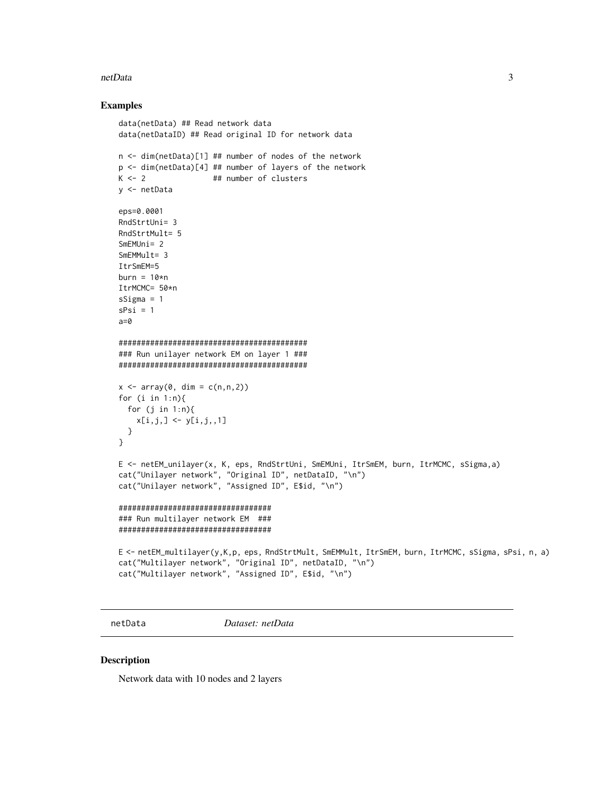#### <span id="page-2-0"></span>netData

#### **Examples**

```
data(netData) ## Read network data
data(netDataID) ## Read original ID for network data
n <- dim(netData)[1] ## number of nodes of the network
p <- dim(netData)[4] ## number of layers of the network
K \leftarrow 2## number of clusters
y <- netData
eps=0.0001
RndStrtUni= 3
RndStrtMult= 5
SmEMUni = 2SmEMMult = 3ItrSmEM=5
burn = 10*nItrMCMC= 50*n
sSigma = 1sPsi = 1a=0### Run unilayer network EM on layer 1 ###
x \le -\arctan(0, \, \dim = c(n, n, 2))for (i \text{ in } 1:n)for (j in 1:n){
   x[i, j, ] \leftarrow y[i, j, 1]\mathcal{Y}\mathcal{E}E <- netEM_unilayer(x, K, eps, RndStrtUni, SmEMUni, ItrSmEM, burn, ItrMCMC, sSigma,a)
cat("Unilayer network", "Original ID", netDataID, "\n")
cat("Unilayer network", "Assigned ID", E$id, "\n")
##################################
### Run multilayer network EM ###
##################################
E <- netEM_multilayer(y,K,p, eps, RndStrtMult, SmEMMult, ItrSmEM, burn, ItrMCMC, sSigma, sPsi, n, a)
cat("Multilayer network", "Original ID", netDataID, "\n")
cat("Multilayer network", "Assigned ID", E$id, "\n")
```
netData

Dataset: netData

#### **Description**

Network data with 10 nodes and 2 layers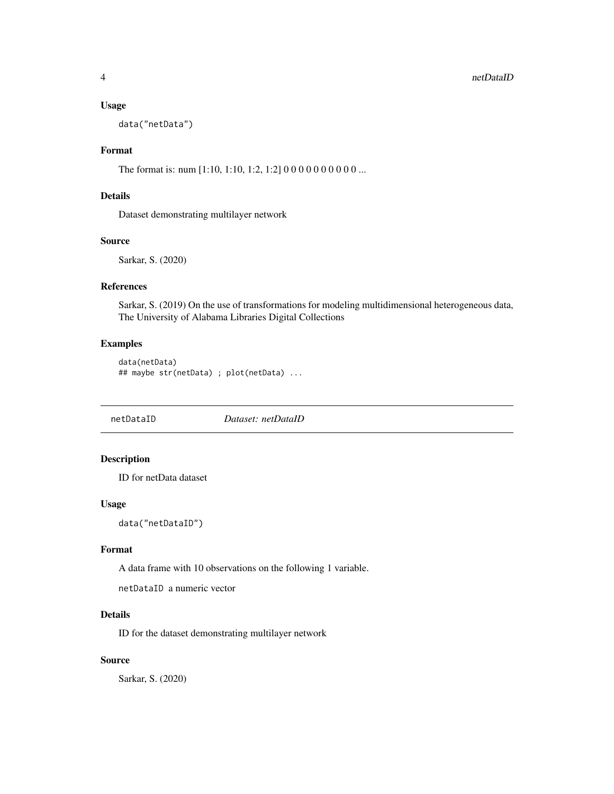#### <span id="page-3-0"></span>4 netDataID and the contract of the contract of the contract of the contract of the contract of the contract of the contract of the contract of the contract of the contract of the contract of the contract of the contract o

#### Usage

data("netData")

#### Format

The format is: num [1:10, 1:10, 1:2, 1:2] 0 0 0 0 0 0 0 0 0 0 ...

#### Details

Dataset demonstrating multilayer network

#### Source

Sarkar, S. (2020)

#### References

Sarkar, S. (2019) On the use of transformations for modeling multidimensional heterogeneous data, The University of Alabama Libraries Digital Collections

#### Examples

```
data(netData)
## maybe str(netData) ; plot(netData) ...
```
netDataID *Dataset: netDataID*

#### Description

ID for netData dataset

#### Usage

data("netDataID")

#### Format

A data frame with 10 observations on the following 1 variable.

netDataID a numeric vector

#### Details

ID for the dataset demonstrating multilayer network

#### Source

Sarkar, S. (2020)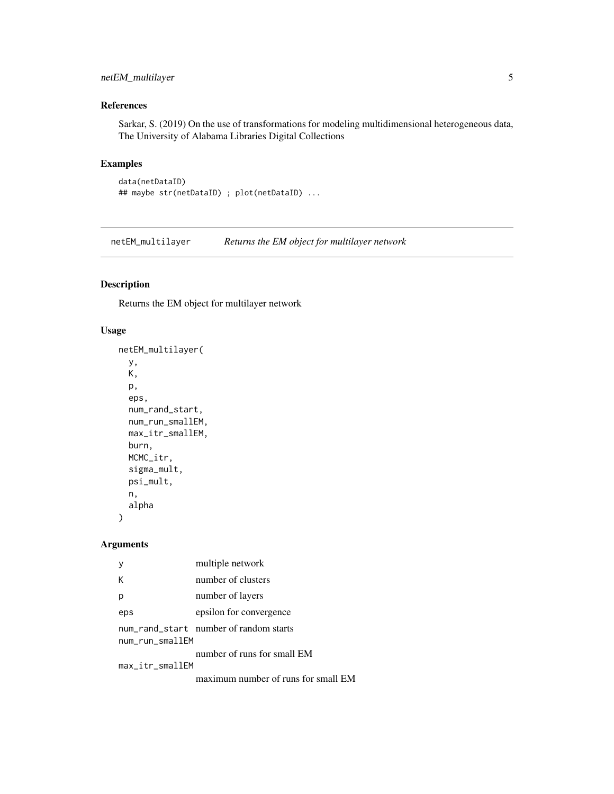#### <span id="page-4-0"></span>netEM\_multilayer 5

#### References

Sarkar, S. (2019) On the use of transformations for modeling multidimensional heterogeneous data, The University of Alabama Libraries Digital Collections

#### Examples

```
data(netDataID)
## maybe str(netDataID) ; plot(netDataID) ...
```
netEM\_multilayer *Returns the EM object for multilayer network*

#### Description

Returns the EM object for multilayer network

#### Usage

```
netEM_multilayer(
 y,
 K,
 p,
 eps,
 num_rand_start,
 num_run_smallEM,
 max_itr_smallEM,
 burn,
 MCMC_itr,
  sigma_mult,
  psi_mult,
 n,
  alpha
)
```
#### Arguments

|                                                           | multiple network                    |  |
|-----------------------------------------------------------|-------------------------------------|--|
| К                                                         | number of clusters                  |  |
|                                                           | number of layers                    |  |
| eps                                                       | epsilon for convergence             |  |
| num_rand_start number of random starts<br>num_run_smallEM |                                     |  |
|                                                           | number of runs for small EM         |  |
| $max_i$                                                   |                                     |  |
|                                                           | maximum number of runs for small EM |  |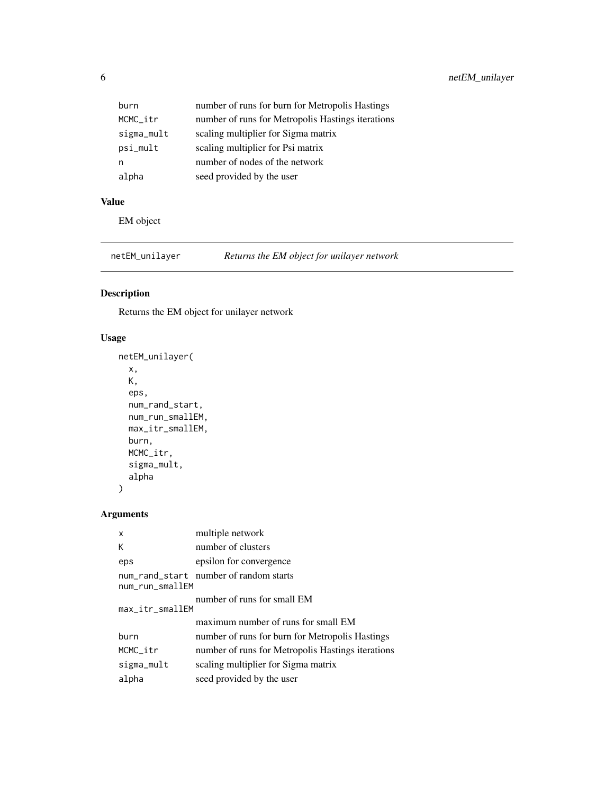<span id="page-5-0"></span>

| burn       | number of runs for burn for Metropolis Hastings   |
|------------|---------------------------------------------------|
| MCMC_itr   | number of runs for Metropolis Hastings iterations |
| sigma_mult | scaling multiplier for Sigma matrix               |
| psi_mult   | scaling multiplier for Psi matrix                 |
| n          | number of nodes of the network                    |
| alpha      | seed provided by the user                         |

#### Value

EM object

netEM\_unilayer *Returns the EM object for unilayer network*

#### Description

Returns the EM object for unilayer network

#### Usage

```
netEM_unilayer(
  x,
  K,
  eps,
  num_rand_start,
  num_run_smallEM,
  max_itr_smallEM,
  burn,
  MCMC_itr,
  sigma_mult,
  alpha
)
```
#### Arguments

| X               | multiple network                                  |
|-----------------|---------------------------------------------------|
| К               | number of clusters                                |
| eps             | epsilon for convergence                           |
| num_run_smallEM | num_rand_start number of random starts            |
| max_itr_smallEM | number of runs for small EM                       |
|                 | maximum number of runs for small EM               |
| burn            | number of runs for burn for Metropolis Hastings   |
| MCMC itr        | number of runs for Metropolis Hastings iterations |
| sigma_mult      | scaling multiplier for Sigma matrix               |
| alpha           | seed provided by the user                         |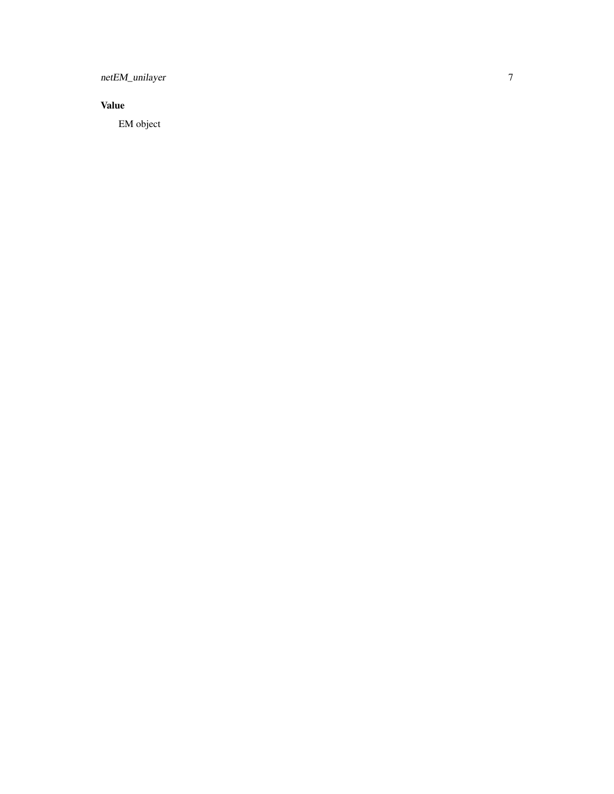netEM\_unilayer

#### **Value**

EM object